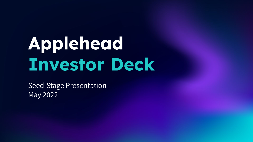# **Applehead Investor Deck**

Seed-Stage Presentation May 2022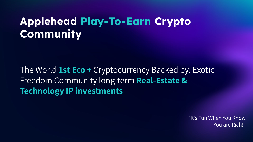## **Applehead Play-To-Earn Crypto Community**

The World **1st Eco +** Cryptocurrency Backed by: Exotic Freedom Community long-term **Real-Estate & Technology IP investments**

> "It's Fun When You Know You are Rich!"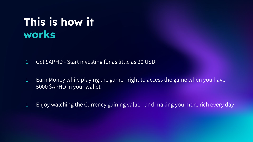## **This is how it works**

- 1. Get \$APHD Start investing for as little as 20 USD
- 1. Earn Money while playing the game right to access the game when you have 5000 \$APHD in your wallet
- 1. Enjoy watching the Currency gaining value and making you more rich every day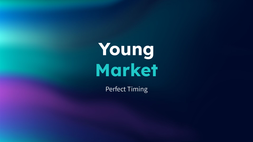**Young Market**

Perfect Timing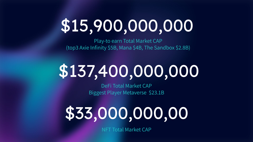## \$15,900,000,000

Play-to earn Total Market CAP (top3 Axie Infinity \$5B, Mana \$4B, The Sandbox \$2.8B)

# \$137,400,000,000

DeFi Total Market CAP Biggest Player Metaverse \$23.1B

# \$33,000,000,00

NFT Total Market CAP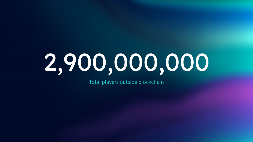# 2,900,000,000

Total players outside blockchain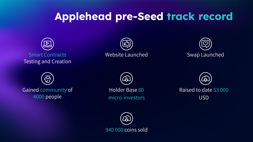### **Applehead pre-Seed track record**



Smart Contracts Testing and Creation







Gained community of 4000 people



Holder Base 80 micro-investors Raised to date 53 000 USD

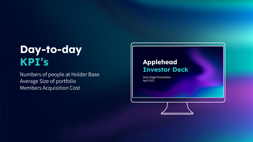## **Day-to-day KPI's**

Numbers of people at Holder Base Average Size of portfolio Members Acquisition Cost

#### **Applehead Investor Deck**

Seed-Stage Presentation April 2022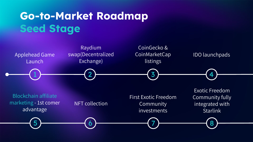

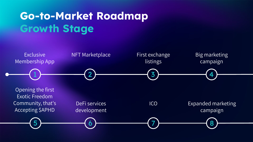## **Go-to-Market Roadmap Growth Stage**

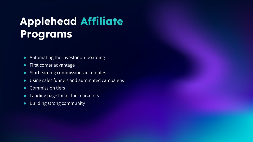## **Applehead Affiliate Programs**

- Automating the investor on-boarding
- First comer advantage
- Start earning commissions in minutes
- Using sales funnels and automated campaigns
- Commission tiers
- Landing page for all the marketers
- Building strong community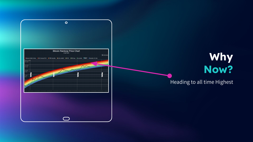

## **Why Now?**

#### Heading to all time Highest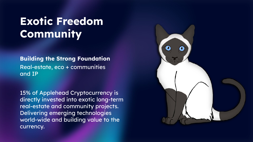## **Exotic Freedom Community**

**Building the Strong Foundation** Real-estate, eco + communities and IP

15% of Applehead Cryptocurrency is directly invested into exotic long-term real-estate and community projects. Delivering emerging technologies world-wide and building value to the currency.